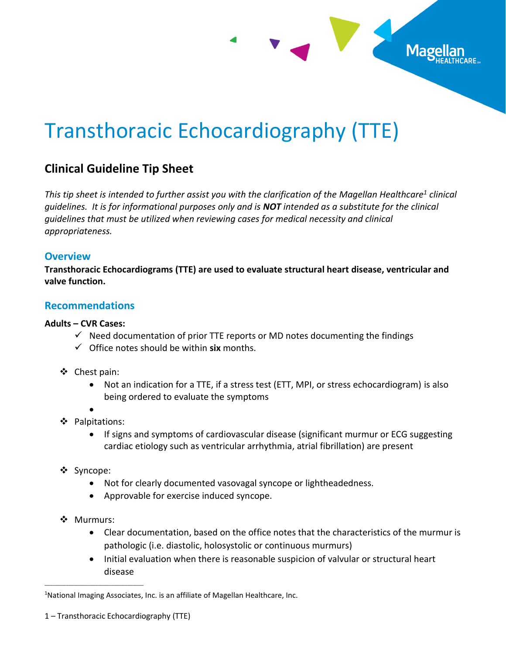# Transthoracic Echocardiography (TTE)

# **Clinical Guideline Tip Sheet**

*This tip sheet is intended to further assist you with the clarification of the Magellan Healthcare<sup>1</sup> clinical guidelines. It is for informational purposes only and is NOT intended as a substitute for the clinical guidelines that must be utilized when reviewing cases for medical necessity and clinical appropriateness.*

Mage

# **Overview**

**Transthoracic Echocardiograms (TTE) are used to evaluate structural heart disease, ventricular and valve function.**

# **Recommendations**

#### **Adults – CVR Cases:**

- $\checkmark$  Need documentation of prior TTE reports or MD notes documenting the findings
- ✓ Office notes should be within **six** months.
- ❖ Chest pain:
	- Not an indication for a TTE, if a stress test (ETT, MPI, or stress echocardiogram) is also being ordered to evaluate the symptoms
	- •
- ❖ Palpitations:
	- If signs and symptoms of cardiovascular disease (significant murmur or ECG suggesting cardiac etiology such as ventricular arrhythmia, atrial fibrillation) are present
- ❖ Syncope:
	- Not for clearly documented vasovagal syncope or lightheadedness.
	- Approvable for exercise induced syncope.
- ❖ Murmurs:

\_\_\_\_\_\_\_\_\_\_\_\_\_\_\_\_\_\_\_\_\_\_\_\_\_\_\_\_\_\_\_\_\_\_\_\_\_

- Clear documentation, based on the office notes that the characteristics of the murmur is pathologic (i.e. diastolic, holosystolic or continuous murmurs)
- Initial evaluation when there is reasonable suspicion of valvular or structural heart disease

<sup>&</sup>lt;sup>1</sup>National Imaging Associates, Inc. is an affiliate of Magellan Healthcare, Inc.

<sup>1</sup> – Transthoracic Echocardiography (TTE)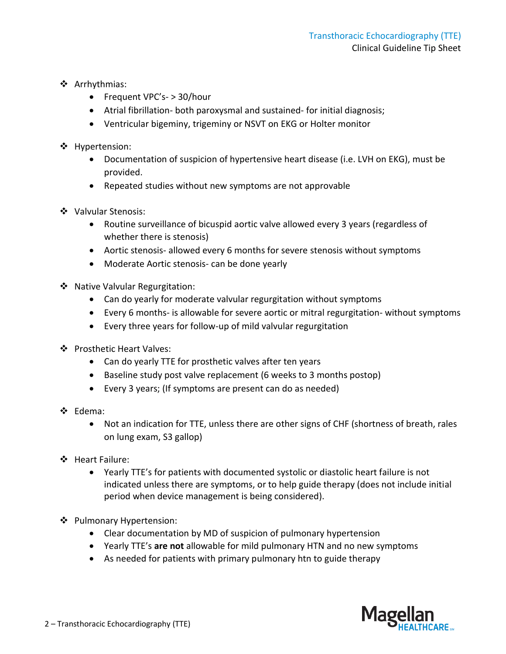- ❖ Arrhythmias:
	- Frequent VPC's- > 30/hour
	- Atrial fibrillation- both paroxysmal and sustained- for initial diagnosis;
	- Ventricular bigeminy, trigeminy or NSVT on EKG or Holter monitor
- ❖ Hypertension:
	- Documentation of suspicion of hypertensive heart disease (i.e. LVH on EKG), must be provided.
	- Repeated studies without new symptoms are not approvable
- ❖ Valvular Stenosis:
	- Routine surveillance of bicuspid aortic valve allowed every 3 years (regardless of whether there is stenosis)
	- Aortic stenosis- allowed every 6 months for severe stenosis without symptoms
	- Moderate Aortic stenosis- can be done yearly
- ❖ Native Valvular Regurgitation:
	- Can do yearly for moderate valvular regurgitation without symptoms
	- Every 6 months- is allowable for severe aortic or mitral regurgitation- without symptoms
	- Every three years for follow-up of mild valvular regurgitation
- ❖ Prosthetic Heart Valves:
	- Can do yearly TTE for prosthetic valves after ten years
	- Baseline study post valve replacement (6 weeks to 3 months postop)
	- Every 3 years; (If symptoms are present can do as needed)
- ❖ Edema:
	- Not an indication for TTE, unless there are other signs of CHF (shortness of breath, rales on lung exam, S3 gallop)
- ❖ Heart Failure:
	- Yearly TTE's for patients with documented systolic or diastolic heart failure is not indicated unless there are symptoms, or to help guide therapy (does not include initial period when device management is being considered).
- ❖ Pulmonary Hypertension:
	- Clear documentation by MD of suspicion of pulmonary hypertension
	- Yearly TTE's **are not** allowable for mild pulmonary HTN and no new symptoms
	- As needed for patients with primary pulmonary htn to guide therapy

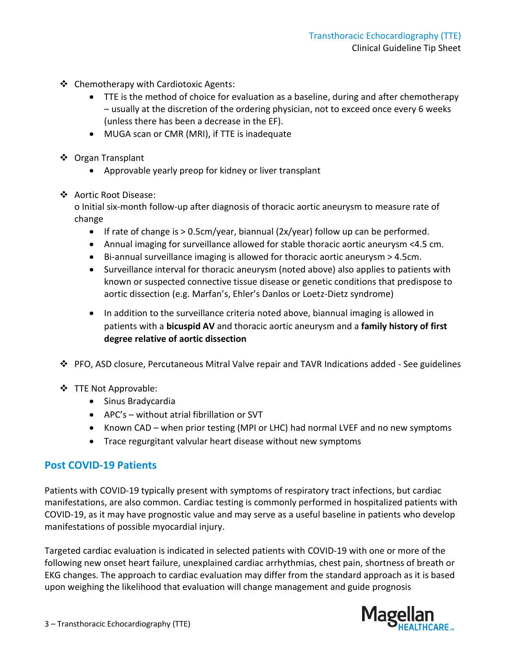- ❖ Chemotherapy with Cardiotoxic Agents:
	- TTE is the method of choice for evaluation as a baseline, during and after chemotherapy – usually at the discretion of the ordering physician, not to exceed once every 6 weeks (unless there has been a decrease in the EF).
	- MUGA scan or CMR (MRI), if TTE is inadequate
- ❖ Organ Transplant
	- Approvable yearly preop for kidney or liver transplant
- ❖ Aortic Root Disease:

o Initial six-month follow-up after diagnosis of thoracic aortic aneurysm to measure rate of change

- If rate of change is > 0.5cm/year, biannual (2x/year) follow up can be performed.
- Annual imaging for surveillance allowed for stable thoracic aortic aneurysm <4.5 cm.
- Bi-annual surveillance imaging is allowed for thoracic aortic aneurysm > 4.5cm.
- Surveillance interval for thoracic aneurysm (noted above) also applies to patients with known or suspected connective tissue disease or genetic conditions that predispose to aortic dissection (e.g. Marfan's, Ehler's Danlos or Loetz-Dietz syndrome)
- In addition to the surveillance criteria noted above, biannual imaging is allowed in patients with a **bicuspid AV** and thoracic aortic aneurysm and a **family history of first degree relative of aortic dissection**
- ❖ PFO, ASD closure, Percutaneous Mitral Valve repair and TAVR Indications added See guidelines
- ❖ TTE Not Approvable:
	- Sinus Bradycardia
	- APC's without atrial fibrillation or SVT
	- Known CAD when prior testing (MPI or LHC) had normal LVEF and no new symptoms
	- Trace regurgitant valvular heart disease without new symptoms

# **Post COVID-19 Patients**

Patients with COVID-19 typically present with symptoms of respiratory tract infections, but cardiac manifestations, are also common. Cardiac testing is commonly performed in hospitalized patients with COVID-19, as it may have prognostic value and may serve as a useful baseline in patients who develop manifestations of possible myocardial injury.

Targeted cardiac evaluation is indicated in selected patients with COVID-19 with one or more of the following new onset heart failure, unexplained cardiac arrhythmias, chest pain, shortness of breath or EKG changes. The approach to cardiac evaluation may differ from the standard approach as it is based upon weighing the likelihood that evaluation will change management and guide prognosis